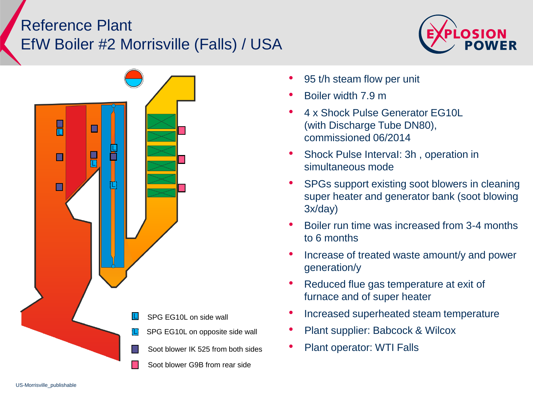## Reference Plant EfW Boiler #2 Morrisville (Falls) / USA





- 95 t/h steam flow per unit
- Boiler width 7.9 m
- 4 x Shock Pulse Generator EG10L (with Discharge Tube DN80), commissioned 06/2014
- Shock Pulse IntervaI: 3h , operation in simultaneous mode
- SPGs support existing soot blowers in cleaning super heater and generator bank (soot blowing 3x/day)
- Boiler run time was increased from 3-4 months to 6 months
- Increase of treated waste amount/y and power generation/y
- Reduced flue gas temperature at exit of furnace and of super heater
- Increased superheated steam temperature
- Plant supplier: Babcock & Wilcox
- Soot blower IK 525 from both sides Plant operator: WTI Falls